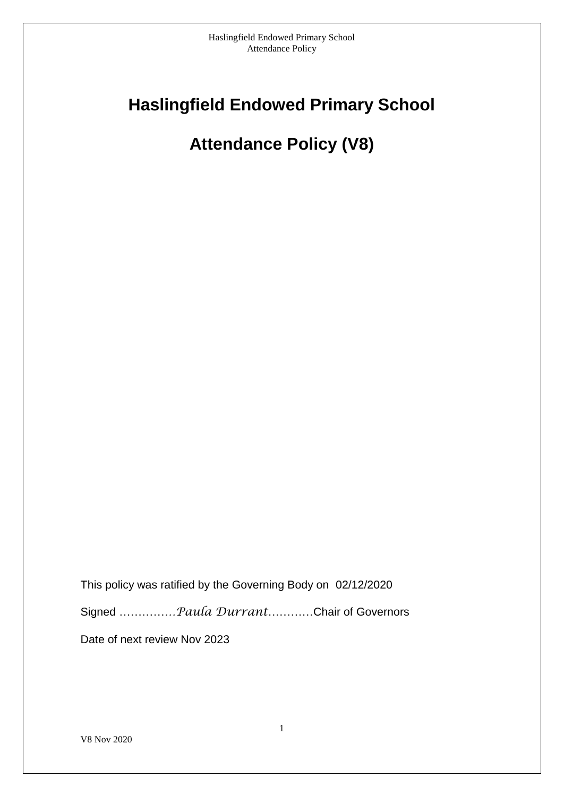# **Haslingfield Endowed Primary School**

# **Attendance Policy (V8)**

This policy was ratified by the Governing Body on 02/12/2020 Signed …………*…Paula Durrant*…………Chair of Governors Date of next review Nov 2023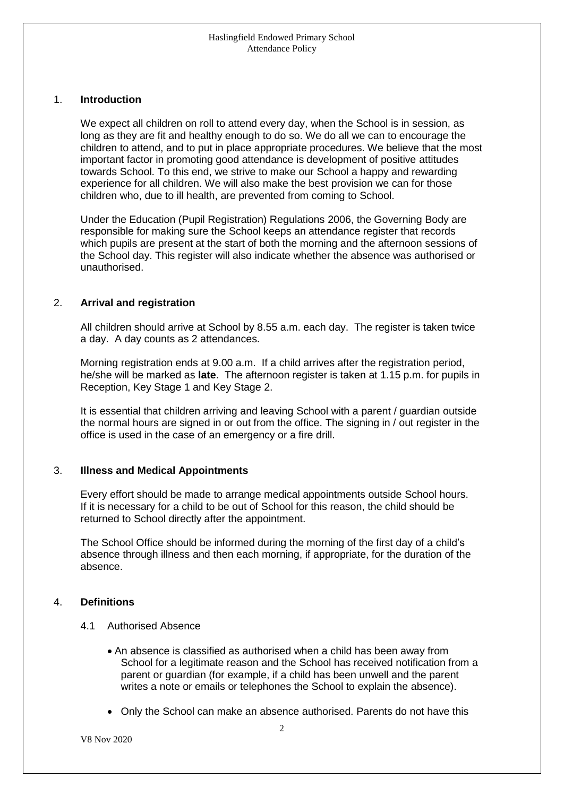# 1. **Introduction**

We expect all children on roll to attend every day, when the School is in session, as long as they are fit and healthy enough to do so. We do all we can to encourage the children to attend, and to put in place appropriate procedures. We believe that the most important factor in promoting good attendance is development of positive attitudes towards School. To this end, we strive to make our School a happy and rewarding experience for all children. We will also make the best provision we can for those children who, due to ill health, are prevented from coming to School.

Under the Education (Pupil Registration) Regulations 2006, the Governing Body are responsible for making sure the School keeps an attendance register that records which pupils are present at the start of both the morning and the afternoon sessions of the School day. This register will also indicate whether the absence was authorised or unauthorised.

# 2. **Arrival and registration**

All children should arrive at School by 8.55 a.m. each day. The register is taken twice a day. A day counts as 2 attendances.

Morning registration ends at 9.00 a.m. If a child arrives after the registration period, he/she will be marked as **late**. The afternoon register is taken at 1.15 p.m. for pupils in Reception, Key Stage 1 and Key Stage 2.

It is essential that children arriving and leaving School with a parent / guardian outside the normal hours are signed in or out from the office. The signing in / out register in the office is used in the case of an emergency or a fire drill.

# 3. **Illness and Medical Appointments**

Every effort should be made to arrange medical appointments outside School hours. If it is necessary for a child to be out of School for this reason, the child should be returned to School directly after the appointment.

The School Office should be informed during the morning of the first day of a child's absence through illness and then each morning, if appropriate, for the duration of the absence.

# 4. **Definitions**

- 4.1 Authorised Absence
	- An absence is classified as authorised when a child has been away from School for a legitimate reason and the School has received notification from a parent or guardian (for example, if a child has been unwell and the parent writes a note or emails or telephones the School to explain the absence).
	- Only the School can make an absence authorised. Parents do not have this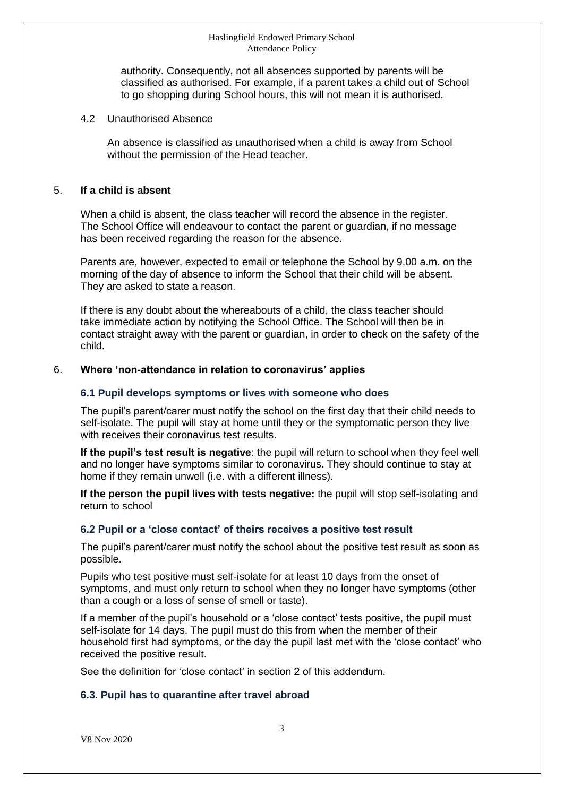authority. Consequently, not all absences supported by parents will be classified as authorised. For example, if a parent takes a child out of School to go shopping during School hours, this will not mean it is authorised.

# 4.2 Unauthorised Absence

An absence is classified as unauthorised when a child is away from School without the permission of the Head teacher.

# 5. **If a child is absent**

When a child is absent, the class teacher will record the absence in the register. The School Office will endeavour to contact the parent or guardian, if no message has been received regarding the reason for the absence.

Parents are, however, expected to email or telephone the School by 9.00 a.m. on the morning of the day of absence to inform the School that their child will be absent. They are asked to state a reason.

If there is any doubt about the whereabouts of a child, the class teacher should take immediate action by notifying the School Office. The School will then be in contact straight away with the parent or guardian, in order to check on the safety of the child.

# 6. **Where 'non-attendance in relation to coronavirus' applies**

# **6.1 Pupil develops symptoms or lives with someone who does**

The pupil's parent/carer must notify the school on the first day that their child needs to self-isolate. The pupil will stay at home until they or the symptomatic person they live with receives their coronavirus test results.

**If the pupil's test result is negative**: the pupil will return to school when they feel well and no longer have symptoms similar to coronavirus. They should continue to stay at home if they remain unwell (i.e. with a different illness).

**If the person the pupil lives with tests negative:** the pupil will stop self-isolating and return to school

#### **6.2 Pupil or a 'close contact' of theirs receives a positive test result**

The pupil's parent/carer must notify the school about the positive test result as soon as possible.

Pupils who test positive must self-isolate for at least 10 days from the onset of symptoms, and must only return to school when they no longer have symptoms (other than a cough or a loss of sense of smell or taste).

If a member of the pupil's household or a 'close contact' tests positive, the pupil must self-isolate for 14 days. The pupil must do this from when the member of their household first had symptoms, or the day the pupil last met with the 'close contact' who received the positive result.

See the definition for 'close contact' in section 2 of this addendum.

# **6.3. Pupil has to quarantine after travel abroad**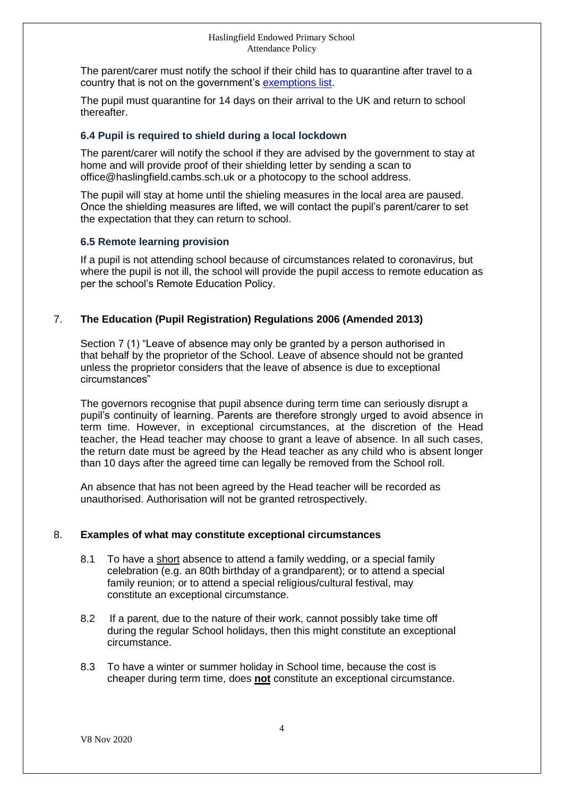The parent/carer must notify the school if their child has to quarantine after travel to a country that is not on the government's [exemptions list.](https://www.gov.uk/guidance/coronavirus-covid-19-travel-corridors#countries-and-territories-with-no-self-isolation-requirement-on-arrival-in-england)

The pupil must quarantine for 14 days on their arrival to the UK and return to school thereafter.

# **6.4 Pupil is required to shield during a local lockdown**

The parent/carer will notify the school if they are advised by the government to stay at home and will provide proof of their shielding letter by sending a scan to office@haslingfield.cambs.sch.uk or a photocopy to the school address.

The pupil will stay at home until the shieling measures in the local area are paused. Once the shielding measures are lifted, we will contact the pupil's parent/carer to set the expectation that they can return to school.

# **6.5 Remote learning provision**

If a pupil is not attending school because of circumstances related to coronavirus, but where the pupil is not ill, the school will provide the pupil access to remote education as per the school's Remote Education Policy.

# 7. **The Education (Pupil Registration) Regulations 2006 (Amended 2013)**

Section 7 (1) "Leave of absence may only be granted by a person authorised in that behalf by the proprietor of the School. Leave of absence should not be granted unless the proprietor considers that the leave of absence is due to exceptional circumstances"

The governors recognise that pupil absence during term time can seriously disrupt a pupil's continuity of learning. Parents are therefore strongly urged to avoid absence in term time. However, in exceptional circumstances, at the discretion of the Head teacher, the Head teacher may choose to grant a leave of absence. In all such cases, the return date must be agreed by the Head teacher as any child who is absent longer than 10 days after the agreed time can legally be removed from the School roll.

An absence that has not been agreed by the Head teacher will be recorded as unauthorised. Authorisation will not be granted retrospectively.

# 8. **Examples of what may constitute exceptional circumstances**

- 8.1 To have a short absence to attend a family wedding, or a special family celebration (e.g. an 80th birthday of a grandparent); or to attend a special family reunion; or to attend a special religious/cultural festival, may constitute an exceptional circumstance.
- 8.2 If a parent, due to the nature of their work, cannot possibly take time off during the regular School holidays, then this might constitute an exceptional circumstance.
- 8.3 To have a winter or summer holiday in School time, because the cost is cheaper during term time, does **not** constitute an exceptional circumstance.